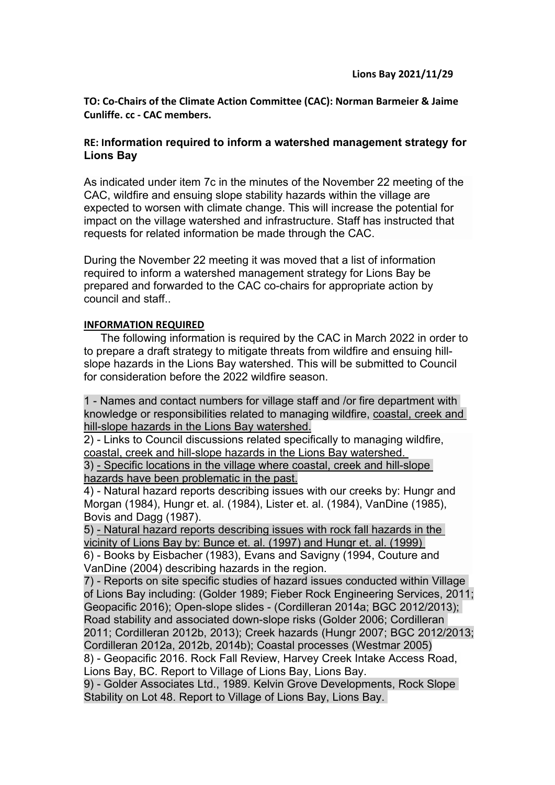**TO: Co-Chairs of the Climate Action Committee (CAC): Norman Barmeier & Jaime Cunliffe. cc - CAC members.**

## **RE: Information required to inform a watershed management strategy for Lions Bay**

As indicated under item 7c in the minutes of the November 22 meeting of the CAC, wildfire and ensuing slope stability hazards within the village are expected to worsen with climate change. This will increase the potential for impact on the village watershed and infrastructure. Staff has instructed that requests for related information be made through the CAC.

During the November 22 meeting it was moved that a list of information required to inform a watershed management strategy for Lions Bay be prepared and forwarded to the CAC co-chairs for appropriate action by council and staff..

## **INFORMATION REQUIRED**

The following information is required by the CAC in March 2022 in order to to prepare a draft strategy to mitigate threats from wildfire and ensuing hillslope hazards in the Lions Bay watershed. This will be submitted to Council for consideration before the 2022 wildfire season.

1 - Names and contact numbers for village staff and /or fire department with knowledge or responsibilities related to managing wildfire, coastal, creek and hill-slope hazards in the Lions Bay watershed.

2) - Links to Council discussions related specifically to managing wildfire, coastal, creek and hill-slope hazards in the Lions Bay watershed.

3) - Specific locations in the village where coastal, creek and hill-slope hazards have been problematic in the past.

4) - Natural hazard reports describing issues with our creeks by: Hungr and Morgan (1984), Hungr et. al. (1984), Lister et. al. (1984), VanDine (1985), Bovis and Dagg (1987).

5) - Natural hazard reports describing issues with rock fall hazards in the vicinity of Lions Bay by: Bunce et. al. (1997) and Hungr et. al. (1999) 6) - Books by Eisbacher (1983), Evans and Savigny (1994, Couture and

VanDine (2004) describing hazards in the region.

7) - Reports on site specific studies of hazard issues conducted within Village of Lions Bay including: (Golder 1989; Fieber Rock Engineering Services, 2011; Geopacific 2016); Open-slope slides - (Cordilleran 2014a; BGC 2012/2013); Road stability and associated down-slope risks (Golder 2006; Cordilleran 2011; Cordilleran 2012b, 2013); Creek hazards (Hungr 2007; BGC 2012/2013; Cordilleran 2012a, 2012b, 2014b); Coastal processes (Westmar 2005) 8) - Geopacific 2016. Rock Fall Review, Harvey Creek Intake Access Road, Lions Bay, BC. Report to Village of Lions Bay, Lions Bay.

9) - Golder Associates Ltd., 1989. Kelvin Grove Developments, Rock Slope Stability on Lot 48. Report to Village of Lions Bay, Lions Bay.